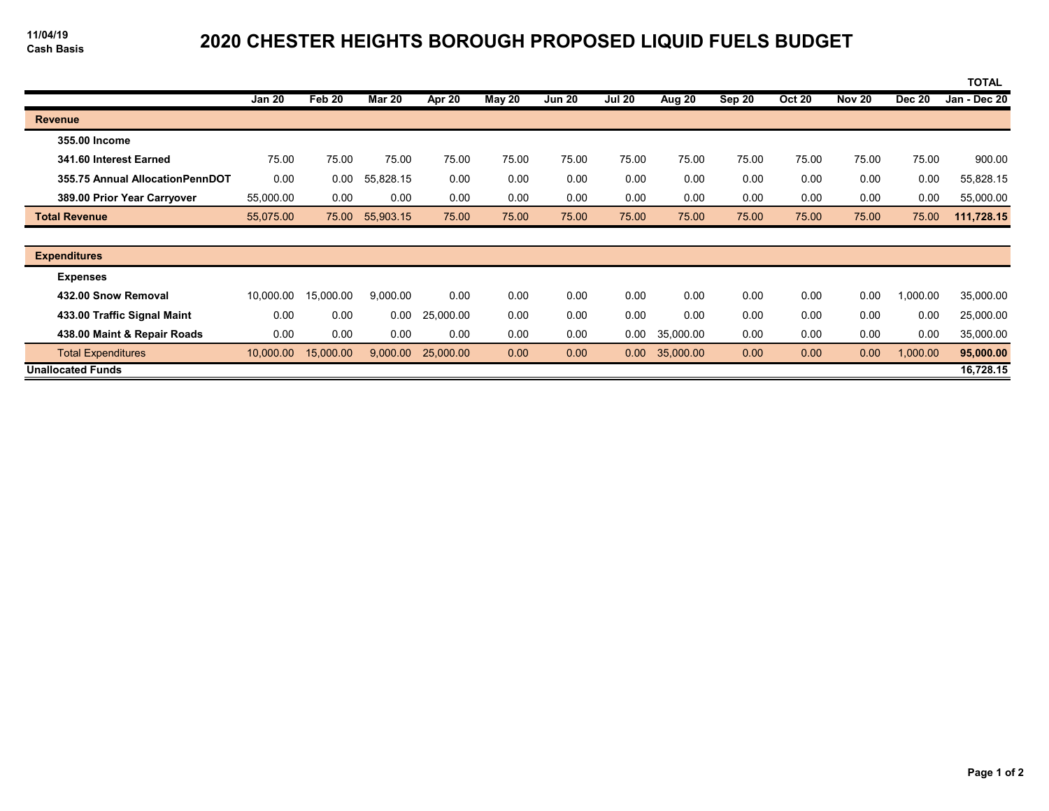## **Cash Basis 2020 CHESTER HEIGHTS BOROUGH PROPOSED LIQUID FUELS BUDGET**

|                                 |               |           |               |           |        |               |                   |           |        |               |               |               | <b>TOTAL</b> |
|---------------------------------|---------------|-----------|---------------|-----------|--------|---------------|-------------------|-----------|--------|---------------|---------------|---------------|--------------|
|                                 | <b>Jan 20</b> | Feb 20    | <b>Mar 20</b> | Apr 20    | May 20 | <b>Jun 20</b> | <b>Jul 20</b>     | Aug 20    | Sep 20 | <b>Oct 20</b> | <b>Nov 20</b> | <b>Dec 20</b> | Jan - Dec 20 |
| <b>Revenue</b>                  |               |           |               |           |        |               |                   |           |        |               |               |               |              |
| 355.00 Income                   |               |           |               |           |        |               |                   |           |        |               |               |               |              |
| 341.60 Interest Earned          | 75.00         | 75.00     | 75.00         | 75.00     | 75.00  | 75.00         | 75.00             | 75.00     | 75.00  | 75.00         | 75.00         | 75.00         | 900.00       |
| 355.75 Annual AllocationPennDOT | 0.00          | 0.00      | 55,828.15     | 0.00      | 0.00   | 0.00          | 0.00              | 0.00      | 0.00   | 0.00          | 0.00          | 0.00          | 55,828.15    |
| 389.00 Prior Year Carryover     | 55,000.00     | 0.00      | 0.00          | 0.00      | 0.00   | 0.00          | 0.00              | 0.00      | 0.00   | 0.00          | 0.00          | 0.00          | 55,000.00    |
| <b>Total Revenue</b>            | 55,075.00     | 75.00     | 55,903.15     | 75.00     | 75.00  | 75.00         | 75.00             | 75.00     | 75.00  | 75.00         | 75.00         | 75.00         | 111,728.15   |
|                                 |               |           |               |           |        |               |                   |           |        |               |               |               |              |
| <b>Expenditures</b>             |               |           |               |           |        |               |                   |           |        |               |               |               |              |
| <b>Expenses</b>                 |               |           |               |           |        |               |                   |           |        |               |               |               |              |
| 432.00 Snow Removal             | 10,000.00     | 15,000.00 | 9,000.00      | 0.00      | 0.00   | 0.00          | 0.00              | 0.00      | 0.00   | 0.00          | 0.00          | 1,000.00      | 35,000.00    |
| 433.00 Traffic Signal Maint     | 0.00          | 0.00      | 0.00          | 25,000.00 | 0.00   | 0.00          | 0.00              | 0.00      | 0.00   | 0.00          | 0.00          | 0.00          | 25,000.00    |
| 438.00 Maint & Repair Roads     | 0.00          | 0.00      | 0.00          | 0.00      | 0.00   | 0.00          | 0.00              | 35,000.00 | 0.00   | 0.00          | 0.00          | 0.00          | 35,000.00    |
| <b>Total Expenditures</b>       | 10,000.00     | 15,000.00 | 9,000.00      | 25,000.00 | 0.00   | 0.00          | 0.00 <sub>1</sub> | 35,000.00 | 0.00   | 0.00          | 0.00          | 1,000.00      | 95,000.00    |
| <b>Unallocated Funds</b>        |               |           |               |           |        |               |                   |           |        |               |               |               | 16,728.15    |